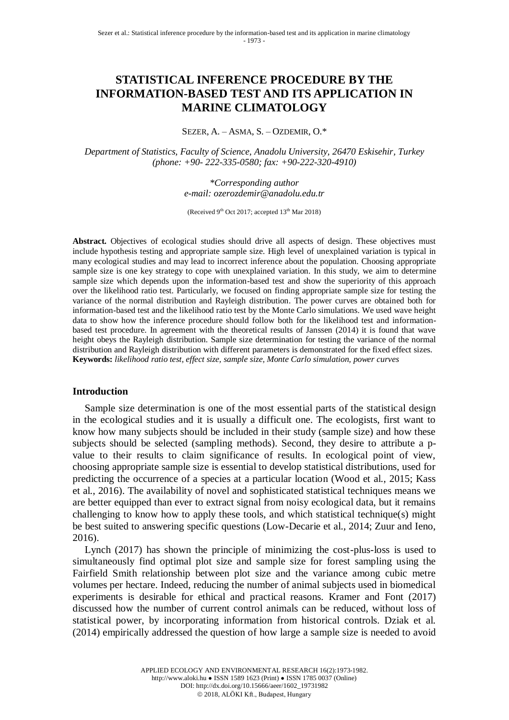# **STATISTICAL INFERENCE PROCEDURE BY THE INFORMATION-BASED TEST AND ITS APPLICATION IN MARINE CLIMATOLOGY**

SEZER, A. – ASMA, S. – OZDEMIR, O.\*

*Department of Statistics, Faculty of Science, Anadolu University, 26470 Eskisehir, Turkey (phone: +90- 222-335-0580; fax: +90-222-320-4910)*

> *\*Corresponding author e-mail: ozerozdemir@anadolu.edu.tr*

(Received 9<sup>th</sup> Oct 2017; accepted 13<sup>th</sup> Mar 2018)

**Abstract.** Objectives of ecological studies should drive all aspects of design. These objectives must include hypothesis testing and appropriate sample size. High level of unexplained variation is typical in many ecological studies and may lead to incorrect inference about the population. Choosing appropriate sample size is one key strategy to cope with unexplained variation. In this study, we aim to determine sample size which depends upon the information-based test and show the superiority of this approach over the likelihood ratio test. Particularly, we focused on finding appropriate sample size for testing the variance of the normal distribution and Rayleigh distribution. The power curves are obtained both for information-based test and the likelihood ratio test by the Monte Carlo simulations. We used wave height data to show how the inference procedure should follow both for the likelihood test and informationbased test procedure. In agreement with the theoretical results of Janssen (2014) it is found that wave height obeys the Rayleigh distribution. Sample size determination for testing the variance of the normal distribution and Rayleigh distribution with different parameters is demonstrated for the fixed effect sizes. **Keywords:** *likelihood ratio test, effect size, sample size, Monte Carlo simulation, power curves*

### **Introduction**

Sample size determination is one of the most essential parts of the statistical design in the ecological studies and it is usually a difficult one. The ecologists, first want to know how many subjects should be included in their study (sample size) and how these subjects should be selected (sampling methods). Second, they desire to attribute a pvalue to their results to claim significance of results. In ecological point of view, choosing appropriate sample size is essential to develop statistical distributions, used for predicting the occurrence of a species at a particular location (Wood et al., 2015; Kass et al., 2016). The availability of novel and sophisticated statistical techniques means we are better equipped than ever to extract signal from noisy ecological data, but it remains challenging to know how to apply these tools, and which statistical technique(s) might be best suited to answering specific questions (Low-Decarie et al., 2014; Zuur and Ieno, 2016).

Lynch (2017) has shown the principle of minimizing the cost-plus-loss is used to simultaneously find optimal plot size and sample size for forest sampling using the Fairfield Smith relationship between plot size and the variance among cubic metre volumes per hectare. Indeed, reducing the number of animal subjects used in biomedical experiments is desirable for ethical and practical reasons. Kramer and Font (2017) discussed how the number of current control animals can be reduced, without loss of statistical power, by incorporating information from historical controls. Dziak et al. (2014) empirically addressed the question of how large a sample size is needed to avoid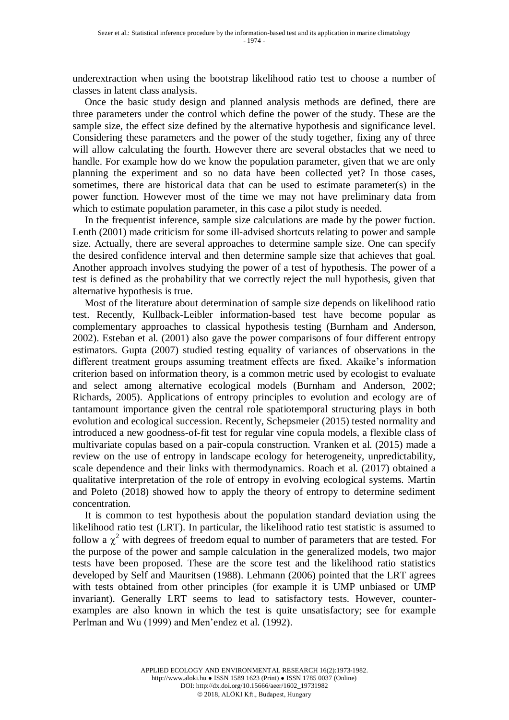underextraction when using the bootstrap likelihood ratio test to choose a number of classes in latent class analysis.

Once the basic study design and planned analysis methods are defined, there are three parameters under the control which define the power of the study. These are the sample size, the effect size defined by the alternative hypothesis and significance level. Considering these parameters and the power of the study together, fixing any of three will allow calculating the fourth. However there are several obstacles that we need to handle. For example how do we know the population parameter, given that we are only planning the experiment and so no data have been collected yet? In those cases, sometimes, there are historical data that can be used to estimate parameter(s) in the power function. However most of the time we may not have preliminary data from which to estimate population parameter, in this case a pilot study is needed.

In the frequentist inference, sample size calculations are made by the power fuction. Lenth (2001) made criticism for some ill-advised shortcuts relating to power and sample size. Actually, there are several approaches to determine sample size. One can specify the desired confidence interval and then determine sample size that achieves that goal. Another approach involves studying the power of a test of hypothesis. The power of a test is defined as the probability that we correctly reject the null hypothesis, given that alternative hypothesis is true.

Most of the literature about determination of sample size depends on likelihood ratio test. Recently, Kullback-Leibler information-based test have become popular as complementary approaches to classical hypothesis testing (Burnham and Anderson, 2002). Esteban et al. (2001) also gave the power comparisons of four different entropy estimators. Gupta (2007) studied testing equality of variances of observations in the different treatment groups assuming treatment effects are fixed. Akaike's information criterion based on information theory, is a common metric used by ecologist to evaluate and select among alternative ecological models (Burnham and Anderson, 2002; Richards, 2005). Applications of entropy principles to evolution and ecology are of tantamount importance given the central role spatiotemporal structuring plays in both evolution and ecological succession. Recently, Schepsmeier (2015) tested normality and introduced a new goodness-of-fit test for regular vine copula models, a flexible class of multivariate copulas based on a pair-copula construction. Vranken et al. (2015) made a review on the use of entropy in landscape ecology for heterogeneity, unpredictability, scale dependence and their links with thermodynamics. Roach et al. (2017) obtained a qualitative interpretation of the role of entropy in evolving ecological systems. Martin and Poleto (2018) showed how to apply the theory of entropy to determine sediment concentration.

It is common to test hypothesis about the population standard deviation using the likelihood ratio test (LRT). In particular, the likelihood ratio test statistic is assumed to follow a  $\chi^2$  with degrees of freedom equal to number of parameters that are tested. For the purpose of the power and sample calculation in the generalized models, two major tests have been proposed. These are the score test and the likelihood ratio statistics developed by Self and Mauritsen (1988). Lehmann (2006) pointed that the LRT agrees with tests obtained from other principles (for example it is UMP unbiased or UMP invariant). Generally LRT seems to lead to satisfactory tests. However, counterexamples are also known in which the test is quite unsatisfactory; see for example Perlman and Wu (1999) and Men'endez et al. (1992).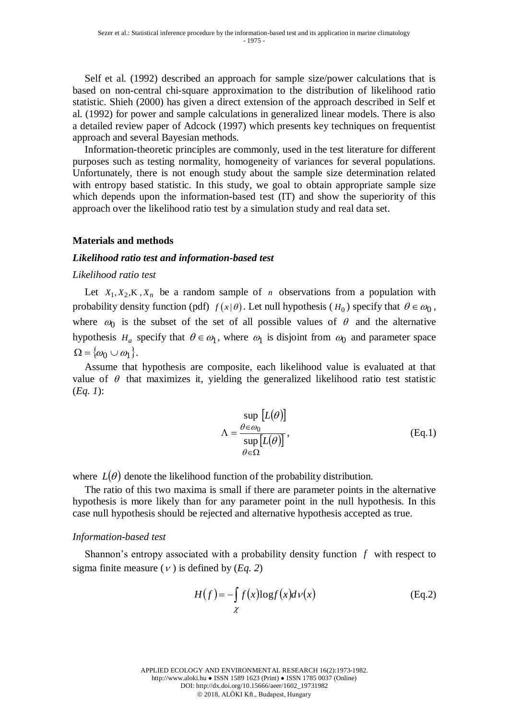Self et al. (1992) described an approach for sample size/power calculations that is based on non-central chi-square approximation to the distribution of likelihood ratio statistic. Shieh (2000) has given a direct extension of the approach described in Self et al. (1992) for power and sample calculations in generalized linear models. There is also a detailed review paper of Adcock (1997) which presents key techniques on frequentist approach and several Bayesian methods.

Information-theoretic principles are commonly, used in the test literature for different purposes such as testing normality, homogeneity of variances for several populations. Unfortunately, there is not enough study about the sample size determination related with entropy based statistic. In this study, we goal to obtain appropriate sample size which depends upon the information-based test (IT) and show the superiority of this approach over the likelihood ratio test by a simulation study and real data set.

## **Materials and methods**

### *Likelihood ratio test and information-based test*

#### *Likelihood ratio test*

Let  $X_1, X_2, K, X_n$  be a random sample of *n* observations from a population with probability density function (pdf)  $f(x|\theta)$ . Let null hypothesis ( $H_0$ ) specify that  $\theta \in \omega_0$ , where  $\omega_0$  is the subset of the set of all possible values of  $\theta$  and the alternative hypothesis  $H_a$  specify that  $\theta \in \omega_1$ , where  $\omega_1$  is disjoint from  $\omega_0$  and parameter space  $\Omega = \{\omega_0 \cup \omega_1\}.$ 

Assume that hypothesis are composite, each likelihood value is evaluated at that value of  $\theta$  that maximizes it, yielding the generalized likelihood ratio test statistic (*Eq. 1*):

$$
\Lambda = \frac{\sup_{\theta \in \omega_0} [L(\theta)]}{\sup_{\theta \in \Omega} [L(\theta)]},
$$
 (Eq.1)

where  $L(\theta)$  denote the likelihood function of the probability distribution.

The ratio of this two maxima is small if there are parameter points in the alternative hypothesis is more likely than for any parameter point in the null hypothesis. In this case null hypothesis should be rejected and alternative hypothesis accepted as true.

#### *Information-based test*

Shannon's entropy associated with a probability density function  $f$  with respect to sigma finite measure  $(v)$  is defined by  $(Eq. 2)$ 

$$
H(f) = -\int_{\chi} f(x) \log f(x) d\nu(x)
$$
 (Eq.2)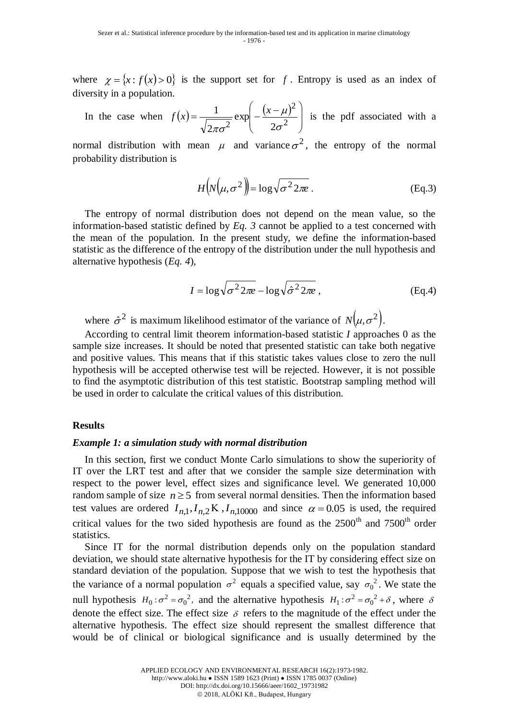where  $\chi = \{x : f(x) > 0\}$  is the support set for f. Entropy is used as an index of diversity in a population.

In the case when 
$$
f(x) = \frac{1}{\sqrt{2\pi\sigma^2}} \exp\left(-\frac{(x-\mu)^2}{2\sigma^2}\right)
$$
 is the pdf associated with a

normal distribution with mean  $\mu$  and variance  $\sigma^2$ , the entropy of the normal probability distribution is

$$
H\left(N\left(\mu,\sigma^2\right)\right) = \log\sqrt{\sigma^2 2\pi e} \ . \tag{Eq.3}
$$

The entropy of normal distribution does not depend on the mean value, so the information-based statistic defined by *Eq. 3* cannot be applied to a test concerned with the mean of the population. In the present study, we define the information-based statistic as the difference of the entropy of the distribution under the null hypothesis and alternative hypothesis (*Eq. 4*),

$$
I = \log \sqrt{\sigma^2 2\pi e} - \log \sqrt{\hat{\sigma}^2 2\pi e} , \qquad (Eq.4)
$$

where  $\hat{\sigma}^2$  is maximum likelihood estimator of the variance of  $N(\mu, \sigma^2)$ .<br>According to central limit theorem information-based statistic *I* approaches 0 as the

sample size increases. It should be noted that presented statistic can take both negative and positive values. This means that if this statistic takes values close to zero the null hypothesis will be accepted otherwise test will be rejected. However, it is not possible to find the asymptotic distribution of this test statistic. Bootstrap sampling method will be used in order to calculate the critical values of this distribution.

### **Results**

### *Example 1: a simulation study with normal distribution*

In this section, first we conduct Monte Carlo simulations to show the superiority of IT over the LRT test and after that we consider the sample size determination with respect to the power level, effect sizes and significance level. We generated 10,000 random sample of size  $n \geq 5$  from several normal densities. Then the information based test values are ordered  $I_{n,1}$ ,  $I_{n,2}$  K,  $I_{n,10000}$  and since  $\alpha = 0.05$  is used, the required critical values for the two sided hypothesis are found as the  $2500<sup>th</sup>$  and  $7500<sup>th</sup>$  order statistics.

Since IT for the normal distribution depends only on the population standard deviation, we should state alternative hypothesis for the IT by considering effect size on standard deviation of the population. Suppose that we wish to test the hypothesis that the variance of a normal population  $\sigma^2$  equals a specified value, say  $\sigma_0^2$ . We state the null hypothesis  $H_0: \sigma^2 = \sigma_0^2$ , and the alternative hypothesis  $H_1: \sigma^2 = \sigma_0^2 + \delta$ , where  $\delta$ denote the effect size. The effect size  $\delta$  refers to the magnitude of the effect under the alternative hypothesis. The effect size should represent the smallest difference that would be of clinical or biological significance and is usually determined by the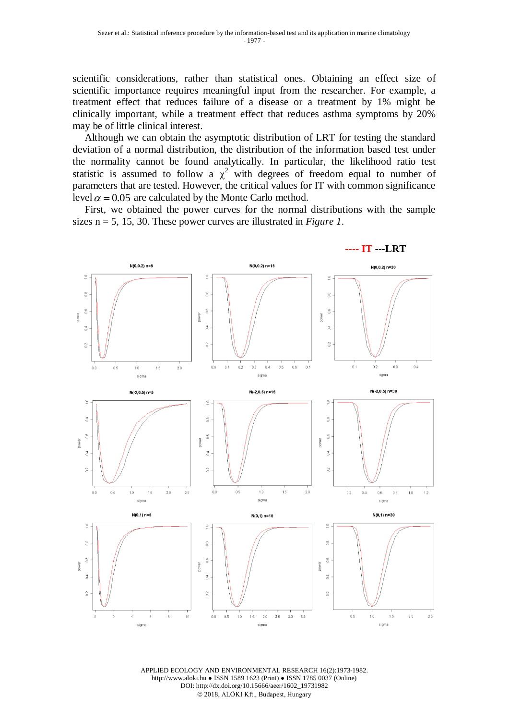scientific considerations, rather than statistical ones. Obtaining an effect size of scientific importance requires meaningful input from the researcher. For example, a treatment effect that reduces failure of a disease or a treatment by 1% might be clinically important, while a treatment effect that reduces asthma symptoms by 20% may be of little clinical interest.

Although we can obtain the asymptotic distribution of LRT for testing the standard deviation of a normal distribution, the distribution of the information based test under the normality cannot be found analytically. In particular, the likelihood ratio test statistic is assumed to follow a  $\chi^2$  with degrees of freedom equal to number of parameters that are tested. However, the critical values for IT with common significance level  $\alpha$  = 0.05 are calculated by the Monte Carlo method.

First, we obtained the power curves for the normal distributions with the sample sizes n = 5, 15, 30. These power curves are illustrated in *Figure 1*.



APPLIED ECOLOGY AND ENVIRONMENTAL RESEARCH 16(2):1973-1982. http://www.aloki.hu ● ISSN 1589 1623 (Print) ● ISSN 1785 0037 (Online) DOI: http://dx.doi.org/10.15666/aeer/1602\_19731982 2018, ALÖKI Kft., Budapest, Hungary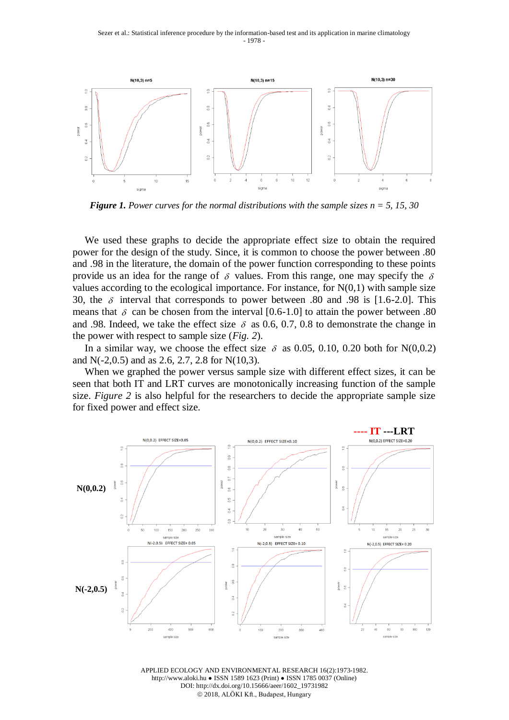

*Figure 1. Power curves for the normal distributions with the sample sizes n = 5, 15, 30*

We used these graphs to decide the appropriate effect size to obtain the required power for the design of the study. Since, it is common to choose the power between .80 and .98 in the literature, the domain of the power function corresponding to these points provide us an idea for the range of  $\delta$  values. From this range, one may specify the  $\delta$ values according to the ecological importance. For instance, for  $N(0,1)$  with sample size 30, the  $\delta$  interval that corresponds to power between .80 and .98 is [1.6-2.0]. This means that  $\delta$  can be chosen from the interval [0.6-1.0] to attain the power between .80 and .98. Indeed, we take the effect size  $\delta$  as 0.6, 0.7, 0.8 to demonstrate the change in the power with respect to sample size (*Fig. 2*).

In a similar way, we choose the effect size  $\delta$  as 0.05, 0.10, 0.20 both for N(0,0.2) and N(-2,0.5) and as 2.6, 2.7, 2.8 for N(10,3).

When we graphed the power versus sample size with different effect sizes, it can be seen that both IT and LRT curves are monotonically increasing function of the sample size. *Figure 2* is also helpful for the researchers to decide the appropriate sample size for fixed power and effect size.



APPLIED ECOLOGY AND ENVIRONMENTAL RESEARCH 16(2):1973-1982. http://www.aloki.hu ● ISSN 1589 1623 (Print) ● ISSN 1785 0037 (Online) DOI: http://dx.doi.org/10.15666/aeer/1602\_19731982 2018, ALÖKI Kft., Budapest, Hungary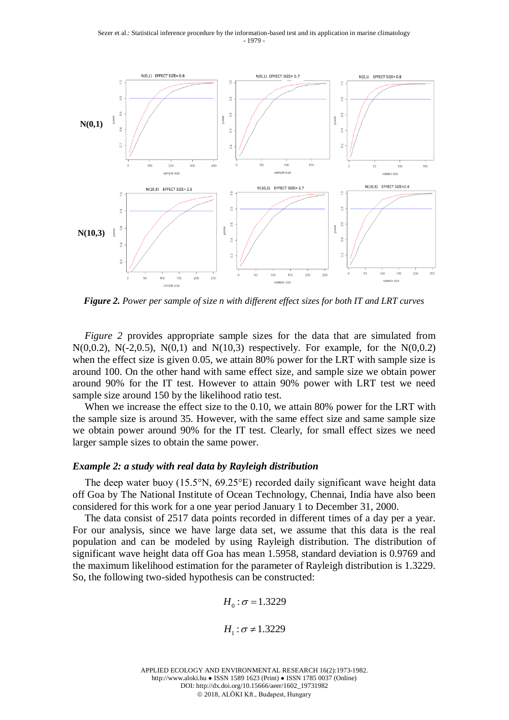

*Figure 2. Power per sample of size n with different effect sizes for both IT and LRT curves*

*Figure 2* provides appropriate sample sizes for the data that are simulated from N(0,0.2), N(-2,0.5), N(0,1) and N(10,3) respectively. For example, for the N(0,0.2) when the effect size is given 0.05, we attain 80% power for the LRT with sample size is around 100. On the other hand with same effect size, and sample size we obtain power around 90% for the IT test. However to attain 90% power with LRT test we need sample size around 150 by the likelihood ratio test.

When we increase the effect size to the 0.10, we attain 80% power for the LRT with the sample size is around 35. However, with the same effect size and same sample size we obtain power around 90% for the IT test. Clearly, for small effect sizes we need larger sample sizes to obtain the same power.

### *Example 2: a study with real data by Rayleigh distribution*

The deep water buoy (15.5°N, 69.25°E) recorded daily significant wave height data off Goa by The National Institute of Ocean Technology, Chennai, India have also been considered for this work for a one year period January 1 to December 31, 2000.

The data consist of 2517 data points recorded in different times of a day per a year. For our analysis, since we have large data set, we assume that this data is the real population and can be modeled by using Rayleigh distribution. The distribution of significant wave height data off Goa has mean 1.5958, standard deviation is 0.9769 and the maximum likelihood estimation for the parameter of Rayleigh distribution is 1.3229. So, the following two-sided hypothesis can be constructed:

$$
H_0: \sigma = 1.3229
$$

 $H_1 : \sigma \neq 1.3229$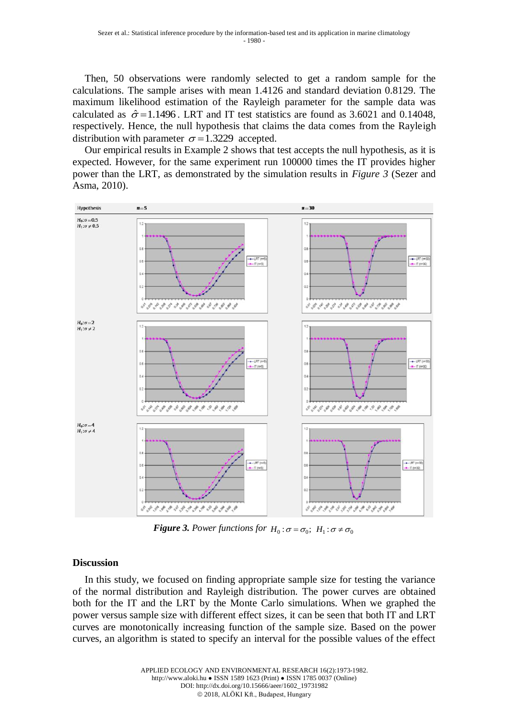Then, 50 observations were randomly selected to get a random sample for the calculations. The sample arises with mean 1.4126 and standard deviation 0.8129. The maximum likelihood estimation of the Rayleigh parameter for the sample data was calculated as  $\hat{\sigma} = 1.1496$ . LRT and IT test statistics are found as 3.6021 and 0.14048, respectively. Hence, the null hypothesis that claims the data comes from the Rayleigh distribution with parameter  $\sigma = 1.3229$  accepted.

Our empirical results in Example 2 shows that test accepts the null hypothesis, as it is expected. However, for the same experiment run 100000 times the IT provides higher power than the LRT, as demonstrated by the simulation results in *Figure 3* (Sezer and Asma, 2010).



**Figure 3.** Power functions for  $H_0: \sigma = \sigma_0$ ;  $H_1: \sigma \neq \sigma_0$ 

# **Discussion**

In this study, we focused on finding appropriate sample size for testing the variance of the normal distribution and Rayleigh distribution. The power curves are obtained both for the IT and the LRT by the Monte Carlo simulations. When we graphed the power versus sample size with different effect sizes, it can be seen that both IT and LRT curves are monotonically increasing function of the sample size. Based on the power curves, an algorithm is stated to specify an interval for the possible values of the effect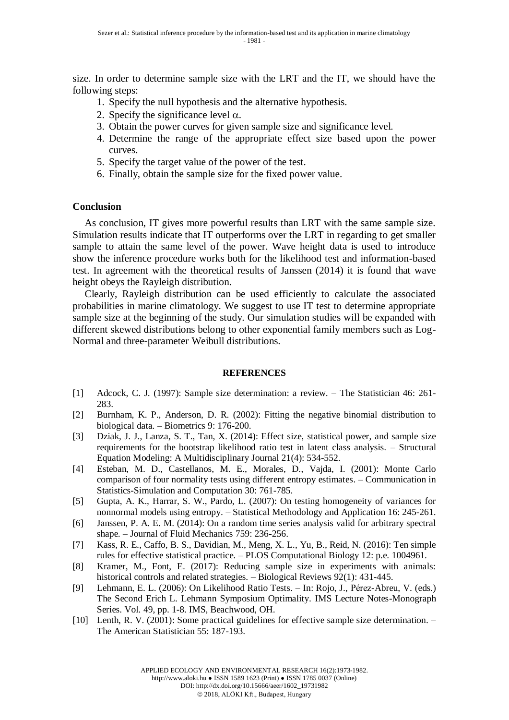size. In order to determine sample size with the LRT and the IT, we should have the following steps:

- 1. Specify the null hypothesis and the alternative hypothesis.
- 2. Specify the significance level  $\alpha$ .
- 3. Obtain the power curves for given sample size and significance level.
- 4. Determine the range of the appropriate effect size based upon the power curves.
- 5. Specify the target value of the power of the test.
- 6. Finally, obtain the sample size for the fixed power value.

# **Conclusion**

As conclusion, IT gives more powerful results than LRT with the same sample size. Simulation results indicate that IT outperforms over the LRT in regarding to get smaller sample to attain the same level of the power. Wave height data is used to introduce show the inference procedure works both for the likelihood test and information-based test. In agreement with the theoretical results of Janssen (2014) it is found that wave height obeys the Rayleigh distribution.

Clearly, Rayleigh distribution can be used efficiently to calculate the associated probabilities in marine climatology. We suggest to use IT test to determine appropriate sample size at the beginning of the study. Our simulation studies will be expanded with different skewed distributions belong to other exponential family members such as Log-Normal and three-parameter Weibull distributions.

# **REFERENCES**

- [1] Adcock, C. J. (1997): Sample size determination: a review. The Statistician 46: 261- 283.
- [2] Burnham, K. P., Anderson, D. R. (2002): Fitting the negative binomial distribution to biological data. – Biometrics 9: 176-200.
- [3] Dziak, J. J., Lanza, S. T., Tan, X. (2014): Effect size, statistical power, and sample size requirements for the bootstrap likelihood ratio test in latent class analysis. – Structural Equation Modeling: A Multidisciplinary Journal 21(4): 534-552.
- [4] Esteban, M. D., Castellanos, M. E., Morales, D., Vajda, I. (2001): Monte Carlo comparison of four normality tests using different entropy estimates. – Communication in Statistics-Simulation and Computation 30: 761-785.
- [5] Gupta, A. K., Harrar, S. W., Pardo, L. (2007): On testing homogeneity of variances for nonnormal models using entropy. – Statistical Methodology and Application 16: 245-261.
- [6] Janssen, P. A. E. M. (2014): On a random time series analysis valid for arbitrary spectral shape. – Journal of Fluid Mechanics 759: 236-256.
- [7] Kass, R. E., Caffo, B. S., Davidian, M., Meng, X. L., Yu, B., Reid, N. (2016): Ten simple rules for effective statistical practice. – PLOS Computational Biology 12: p.e. 1004961.
- [8] Kramer, M., Font, E. (2017): Reducing sample size in experiments with animals: historical controls and related strategies. – Biological Reviews 92(1): 431-445.
- [9] Lehmann, E. L. (2006): On Likelihood Ratio Tests. In: Rojo, J., Pérez-Abreu, V. (eds.) The Second Erich L. Lehmann Symposium Optimality. IMS Lecture Notes-Monograph Series. Vol. 49, pp. 1-8. IMS, Beachwood, OH.
- [10] Lenth, R. V. (2001): Some practical guidelines for effective sample size determination. The American Statistician 55: 187-193.